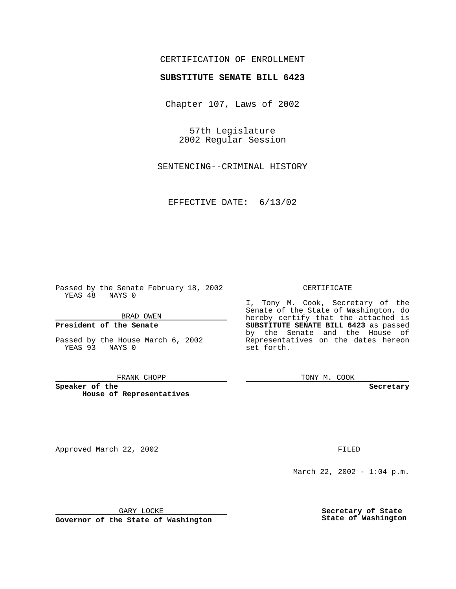# CERTIFICATION OF ENROLLMENT

# **SUBSTITUTE SENATE BILL 6423**

Chapter 107, Laws of 2002

57th Legislature 2002 Regular Session

SENTENCING--CRIMINAL HISTORY

EFFECTIVE DATE: 6/13/02

Passed by the Senate February 18, 2002 YEAS 48 NAYS 0

BRAD OWEN

### **President of the Senate**

Passed by the House March 6, 2002 YEAS 93 NAYS 0

#### FRANK CHOPP

**Speaker of the House of Representatives**

Approved March 22, 2002 **FILED** 

### CERTIFICATE

I, Tony M. Cook, Secretary of the Senate of the State of Washington, do hereby certify that the attached is **SUBSTITUTE SENATE BILL 6423** as passed by the Senate and the House of Representatives on the dates hereon set forth.

TONY M. COOK

**Secretary**

March 22, 2002 - 1:04 p.m.

GARY LOCKE

**Governor of the State of Washington**

**Secretary of State State of Washington**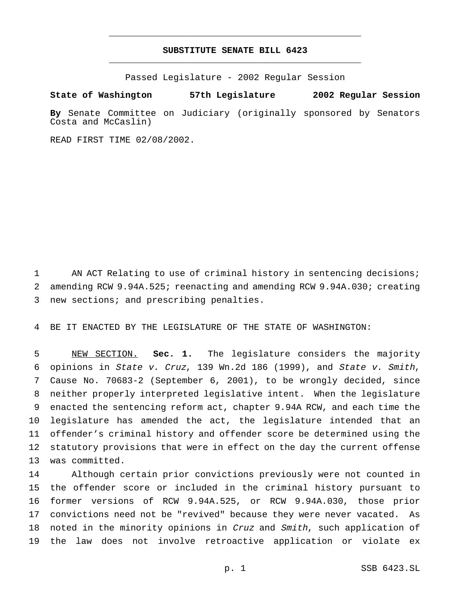# **SUBSTITUTE SENATE BILL 6423** \_\_\_\_\_\_\_\_\_\_\_\_\_\_\_\_\_\_\_\_\_\_\_\_\_\_\_\_\_\_\_\_\_\_\_\_\_\_\_\_\_\_\_\_\_\_\_

\_\_\_\_\_\_\_\_\_\_\_\_\_\_\_\_\_\_\_\_\_\_\_\_\_\_\_\_\_\_\_\_\_\_\_\_\_\_\_\_\_\_\_\_\_\_\_

Passed Legislature - 2002 Regular Session

### **State of Washington 57th Legislature 2002 Regular Session**

**By** Senate Committee on Judiciary (originally sponsored by Senators Costa and McCaslin)

READ FIRST TIME 02/08/2002.

 AN ACT Relating to use of criminal history in sentencing decisions; amending RCW 9.94A.525; reenacting and amending RCW 9.94A.030; creating new sections; and prescribing penalties.

BE IT ENACTED BY THE LEGISLATURE OF THE STATE OF WASHINGTON:

 NEW SECTION. **Sec. 1.** The legislature considers the majority opinions in State v. Cruz, 139 Wn.2d 186 (1999), and State v. Smith, Cause No. 70683-2 (September 6, 2001), to be wrongly decided, since neither properly interpreted legislative intent. When the legislature enacted the sentencing reform act, chapter 9.94A RCW, and each time the legislature has amended the act, the legislature intended that an offender's criminal history and offender score be determined using the statutory provisions that were in effect on the day the current offense was committed.

 Although certain prior convictions previously were not counted in the offender score or included in the criminal history pursuant to former versions of RCW 9.94A.525, or RCW 9.94A.030, those prior convictions need not be "revived" because they were never vacated. As 18 noted in the minority opinions in Cruz and Smith, such application of the law does not involve retroactive application or violate ex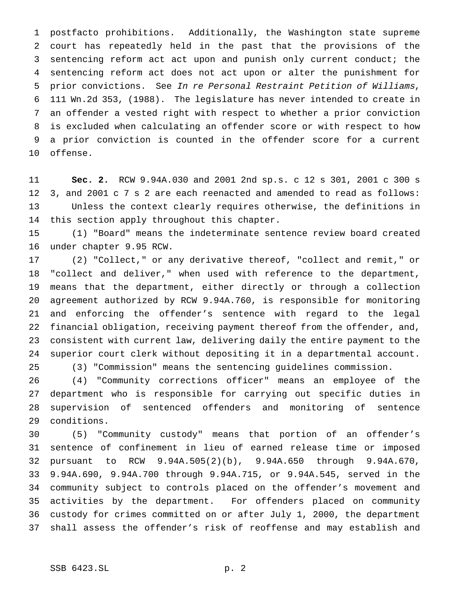postfacto prohibitions. Additionally, the Washington state supreme court has repeatedly held in the past that the provisions of the sentencing reform act act upon and punish only current conduct; the sentencing reform act does not act upon or alter the punishment for prior convictions. See In re Personal Restraint Petition of Williams, 111 Wn.2d 353, (1988). The legislature has never intended to create in an offender a vested right with respect to whether a prior conviction is excluded when calculating an offender score or with respect to how a prior conviction is counted in the offender score for a current offense.

 **Sec. 2.** RCW 9.94A.030 and 2001 2nd sp.s. c 12 s 301, 2001 c 300 s 3, and 2001 c 7 s 2 are each reenacted and amended to read as follows: Unless the context clearly requires otherwise, the definitions in this section apply throughout this chapter.

 (1) "Board" means the indeterminate sentence review board created under chapter 9.95 RCW.

 (2) "Collect," or any derivative thereof, "collect and remit," or "collect and deliver," when used with reference to the department, means that the department, either directly or through a collection agreement authorized by RCW 9.94A.760, is responsible for monitoring and enforcing the offender's sentence with regard to the legal financial obligation, receiving payment thereof from the offender, and, consistent with current law, delivering daily the entire payment to the superior court clerk without depositing it in a departmental account. (3) "Commission" means the sentencing guidelines commission.

 (4) "Community corrections officer" means an employee of the department who is responsible for carrying out specific duties in supervision of sentenced offenders and monitoring of sentence conditions.

 (5) "Community custody" means that portion of an offender's sentence of confinement in lieu of earned release time or imposed pursuant to RCW 9.94A.505(2)(b), 9.94A.650 through 9.94A.670, 9.94A.690, 9.94A.700 through 9.94A.715, or 9.94A.545, served in the community subject to controls placed on the offender's movement and activities by the department. For offenders placed on community custody for crimes committed on or after July 1, 2000, the department shall assess the offender's risk of reoffense and may establish and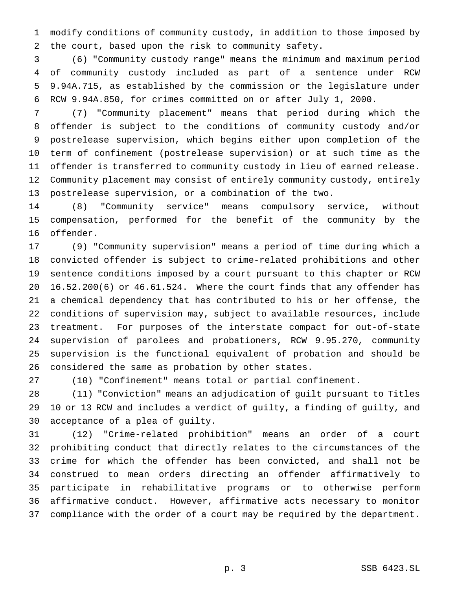modify conditions of community custody, in addition to those imposed by the court, based upon the risk to community safety.

 (6) "Community custody range" means the minimum and maximum period of community custody included as part of a sentence under RCW 9.94A.715, as established by the commission or the legislature under RCW 9.94A.850, for crimes committed on or after July 1, 2000.

 (7) "Community placement" means that period during which the offender is subject to the conditions of community custody and/or postrelease supervision, which begins either upon completion of the term of confinement (postrelease supervision) or at such time as the offender is transferred to community custody in lieu of earned release. Community placement may consist of entirely community custody, entirely postrelease supervision, or a combination of the two.

 (8) "Community service" means compulsory service, without compensation, performed for the benefit of the community by the offender.

 (9) "Community supervision" means a period of time during which a convicted offender is subject to crime-related prohibitions and other sentence conditions imposed by a court pursuant to this chapter or RCW 16.52.200(6) or 46.61.524. Where the court finds that any offender has a chemical dependency that has contributed to his or her offense, the conditions of supervision may, subject to available resources, include treatment. For purposes of the interstate compact for out-of-state supervision of parolees and probationers, RCW 9.95.270, community supervision is the functional equivalent of probation and should be considered the same as probation by other states.

(10) "Confinement" means total or partial confinement.

 (11) "Conviction" means an adjudication of guilt pursuant to Titles 10 or 13 RCW and includes a verdict of guilty, a finding of guilty, and acceptance of a plea of guilty.

 (12) "Crime-related prohibition" means an order of a court prohibiting conduct that directly relates to the circumstances of the crime for which the offender has been convicted, and shall not be construed to mean orders directing an offender affirmatively to participate in rehabilitative programs or to otherwise perform affirmative conduct. However, affirmative acts necessary to monitor compliance with the order of a court may be required by the department.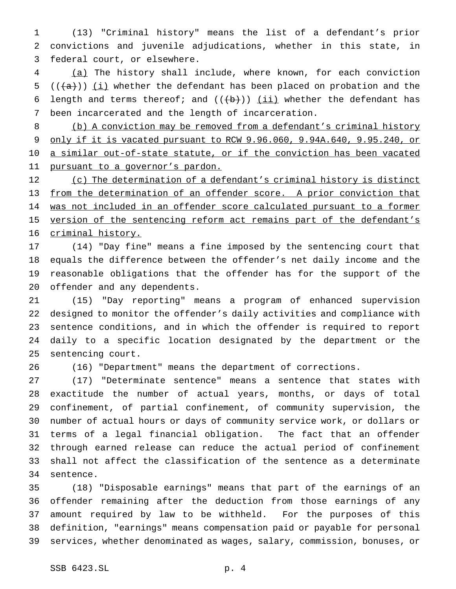(13) "Criminal history" means the list of a defendant's prior convictions and juvenile adjudications, whether in this state, in federal court, or elsewhere.

 (a) The history shall include, where known, for each conviction 5 ( $(\overline{(a)})$ ) (i) whether the defendant has been placed on probation and the 6 length and terms thereof; and  $((+b))$  (ii) whether the defendant has been incarcerated and the length of incarceration.

 (b) A conviction may be removed from a defendant's criminal history only if it is vacated pursuant to RCW 9.96.060, 9.94A.640, 9.95.240, or 10 a similar out-of-state statute, or if the conviction has been vacated 11 pursuant to a governor's pardon.

12 (c) The determination of a defendant's criminal history is distinct from the determination of an offender score. A prior conviction that was not included in an offender score calculated pursuant to a former 15 version of the sentencing reform act remains part of the defendant's criminal history.

 (14) "Day fine" means a fine imposed by the sentencing court that equals the difference between the offender's net daily income and the reasonable obligations that the offender has for the support of the offender and any dependents.

 (15) "Day reporting" means a program of enhanced supervision designed to monitor the offender's daily activities and compliance with sentence conditions, and in which the offender is required to report daily to a specific location designated by the department or the sentencing court.

(16) "Department" means the department of corrections.

 (17) "Determinate sentence" means a sentence that states with exactitude the number of actual years, months, or days of total confinement, of partial confinement, of community supervision, the number of actual hours or days of community service work, or dollars or terms of a legal financial obligation. The fact that an offender through earned release can reduce the actual period of confinement shall not affect the classification of the sentence as a determinate sentence.

 (18) "Disposable earnings" means that part of the earnings of an offender remaining after the deduction from those earnings of any amount required by law to be withheld. For the purposes of this definition, "earnings" means compensation paid or payable for personal services, whether denominated as wages, salary, commission, bonuses, or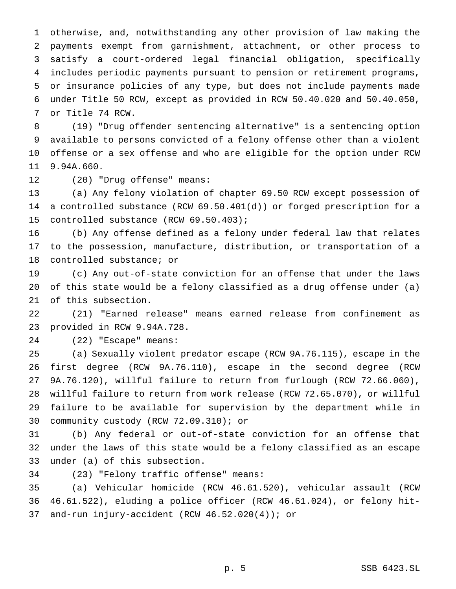otherwise, and, notwithstanding any other provision of law making the payments exempt from garnishment, attachment, or other process to satisfy a court-ordered legal financial obligation, specifically includes periodic payments pursuant to pension or retirement programs, or insurance policies of any type, but does not include payments made under Title 50 RCW, except as provided in RCW 50.40.020 and 50.40.050, or Title 74 RCW.

 (19) "Drug offender sentencing alternative" is a sentencing option available to persons convicted of a felony offense other than a violent offense or a sex offense and who are eligible for the option under RCW 9.94A.660.

(20) "Drug offense" means:

 (a) Any felony violation of chapter 69.50 RCW except possession of a controlled substance (RCW 69.50.401(d)) or forged prescription for a controlled substance (RCW 69.50.403);

 (b) Any offense defined as a felony under federal law that relates to the possession, manufacture, distribution, or transportation of a controlled substance; or

 (c) Any out-of-state conviction for an offense that under the laws of this state would be a felony classified as a drug offense under (a) of this subsection.

 (21) "Earned release" means earned release from confinement as provided in RCW 9.94A.728.

(22) "Escape" means:

 (a) Sexually violent predator escape (RCW 9A.76.115), escape in the first degree (RCW 9A.76.110), escape in the second degree (RCW 9A.76.120), willful failure to return from furlough (RCW 72.66.060), willful failure to return from work release (RCW 72.65.070), or willful failure to be available for supervision by the department while in community custody (RCW 72.09.310); or

 (b) Any federal or out-of-state conviction for an offense that under the laws of this state would be a felony classified as an escape under (a) of this subsection.

(23) "Felony traffic offense" means:

 (a) Vehicular homicide (RCW 46.61.520), vehicular assault (RCW 46.61.522), eluding a police officer (RCW 46.61.024), or felony hit-and-run injury-accident (RCW 46.52.020(4)); or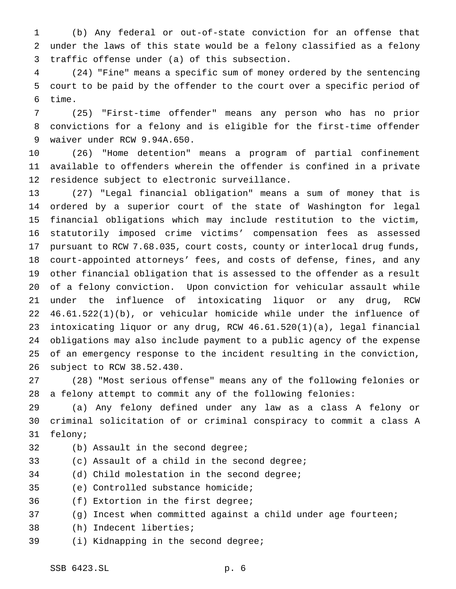(b) Any federal or out-of-state conviction for an offense that under the laws of this state would be a felony classified as a felony traffic offense under (a) of this subsection.

 (24) "Fine" means a specific sum of money ordered by the sentencing court to be paid by the offender to the court over a specific period of time.

 (25) "First-time offender" means any person who has no prior convictions for a felony and is eligible for the first-time offender waiver under RCW 9.94A.650.

 (26) "Home detention" means a program of partial confinement available to offenders wherein the offender is confined in a private residence subject to electronic surveillance.

 (27) "Legal financial obligation" means a sum of money that is ordered by a superior court of the state of Washington for legal financial obligations which may include restitution to the victim, statutorily imposed crime victims' compensation fees as assessed pursuant to RCW 7.68.035, court costs, county or interlocal drug funds, court-appointed attorneys' fees, and costs of defense, fines, and any other financial obligation that is assessed to the offender as a result of a felony conviction. Upon conviction for vehicular assault while under the influence of intoxicating liquor or any drug, RCW 46.61.522(1)(b), or vehicular homicide while under the influence of intoxicating liquor or any drug, RCW 46.61.520(1)(a), legal financial obligations may also include payment to a public agency of the expense of an emergency response to the incident resulting in the conviction, subject to RCW 38.52.430.

 (28) "Most serious offense" means any of the following felonies or a felony attempt to commit any of the following felonies:

 (a) Any felony defined under any law as a class A felony or criminal solicitation of or criminal conspiracy to commit a class A felony;

- 
- (b) Assault in the second degree;
- (c) Assault of a child in the second degree;
- (d) Child molestation in the second degree;
- (e) Controlled substance homicide;
- (f) Extortion in the first degree;
- (g) Incest when committed against a child under age fourteen;
- (h) Indecent liberties;
- (i) Kidnapping in the second degree;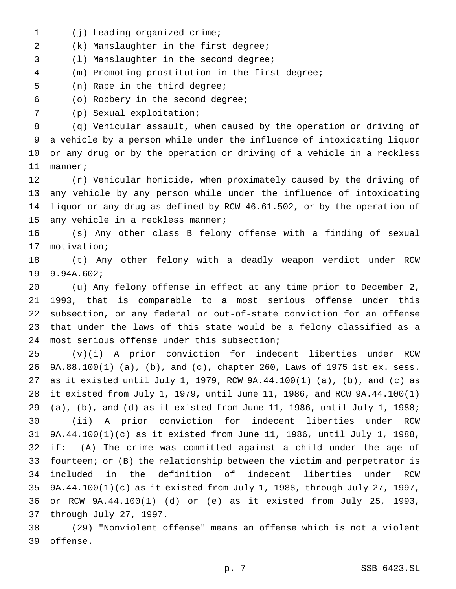1 (j) Leading organized crime;

(k) Manslaughter in the first degree;

(l) Manslaughter in the second degree;

(m) Promoting prostitution in the first degree;

(n) Rape in the third degree;

(o) Robbery in the second degree;

(p) Sexual exploitation;

 (q) Vehicular assault, when caused by the operation or driving of a vehicle by a person while under the influence of intoxicating liquor or any drug or by the operation or driving of a vehicle in a reckless manner;

 (r) Vehicular homicide, when proximately caused by the driving of any vehicle by any person while under the influence of intoxicating liquor or any drug as defined by RCW 46.61.502, or by the operation of any vehicle in a reckless manner;

 (s) Any other class B felony offense with a finding of sexual motivation;

 (t) Any other felony with a deadly weapon verdict under RCW 9.94A.602;

 (u) Any felony offense in effect at any time prior to December 2, 1993, that is comparable to a most serious offense under this subsection, or any federal or out-of-state conviction for an offense that under the laws of this state would be a felony classified as a most serious offense under this subsection;

 (v)(i) A prior conviction for indecent liberties under RCW 9A.88.100(1) (a), (b), and (c), chapter 260, Laws of 1975 1st ex. sess. as it existed until July 1, 1979, RCW 9A.44.100(1) (a), (b), and (c) as it existed from July 1, 1979, until June 11, 1986, and RCW 9A.44.100(1) (a), (b), and (d) as it existed from June 11, 1986, until July 1, 1988; (ii) A prior conviction for indecent liberties under RCW 9A.44.100(1)(c) as it existed from June 11, 1986, until July 1, 1988, if: (A) The crime was committed against a child under the age of fourteen; or (B) the relationship between the victim and perpetrator is included in the definition of indecent liberties under RCW 9A.44.100(1)(c) as it existed from July 1, 1988, through July 27, 1997, or RCW 9A.44.100(1) (d) or (e) as it existed from July 25, 1993, through July 27, 1997.

 (29) "Nonviolent offense" means an offense which is not a violent offense.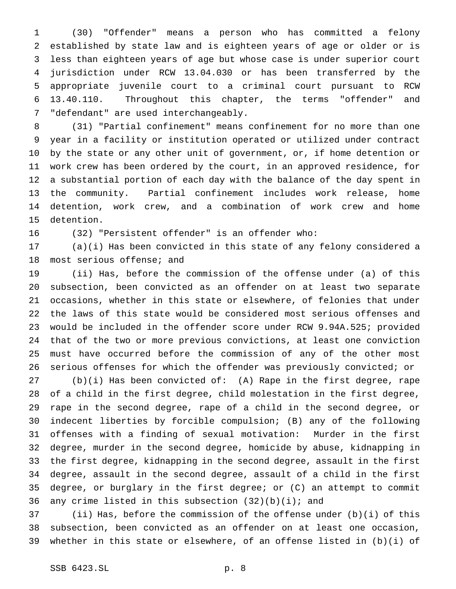(30) "Offender" means a person who has committed a felony established by state law and is eighteen years of age or older or is less than eighteen years of age but whose case is under superior court jurisdiction under RCW 13.04.030 or has been transferred by the appropriate juvenile court to a criminal court pursuant to RCW 13.40.110. Throughout this chapter, the terms "offender" and "defendant" are used interchangeably.

 (31) "Partial confinement" means confinement for no more than one year in a facility or institution operated or utilized under contract by the state or any other unit of government, or, if home detention or work crew has been ordered by the court, in an approved residence, for a substantial portion of each day with the balance of the day spent in the community. Partial confinement includes work release, home detention, work crew, and a combination of work crew and home detention.

(32) "Persistent offender" is an offender who:

 (a)(i) Has been convicted in this state of any felony considered a most serious offense; and

 (ii) Has, before the commission of the offense under (a) of this subsection, been convicted as an offender on at least two separate occasions, whether in this state or elsewhere, of felonies that under the laws of this state would be considered most serious offenses and would be included in the offender score under RCW 9.94A.525; provided that of the two or more previous convictions, at least one conviction must have occurred before the commission of any of the other most serious offenses for which the offender was previously convicted; or

 (b)(i) Has been convicted of: (A) Rape in the first degree, rape of a child in the first degree, child molestation in the first degree, rape in the second degree, rape of a child in the second degree, or indecent liberties by forcible compulsion; (B) any of the following offenses with a finding of sexual motivation: Murder in the first degree, murder in the second degree, homicide by abuse, kidnapping in the first degree, kidnapping in the second degree, assault in the first degree, assault in the second degree, assault of a child in the first degree, or burglary in the first degree; or (C) an attempt to commit 36 any crime listed in this subsection  $(32)(b)(i)$ ; and

 (ii) Has, before the commission of the offense under (b)(i) of this subsection, been convicted as an offender on at least one occasion, whether in this state or elsewhere, of an offense listed in (b)(i) of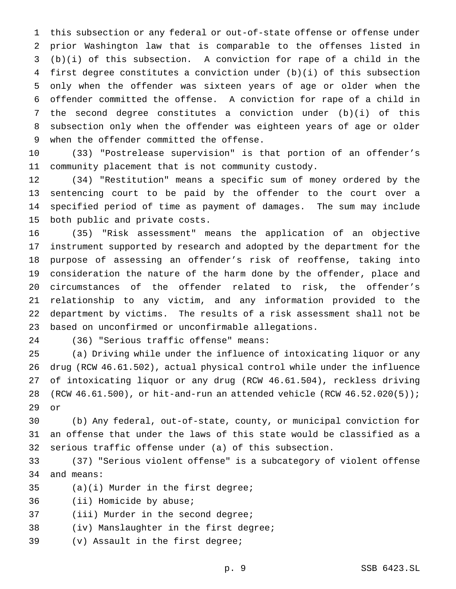this subsection or any federal or out-of-state offense or offense under prior Washington law that is comparable to the offenses listed in (b)(i) of this subsection. A conviction for rape of a child in the first degree constitutes a conviction under (b)(i) of this subsection only when the offender was sixteen years of age or older when the offender committed the offense. A conviction for rape of a child in the second degree constitutes a conviction under (b)(i) of this subsection only when the offender was eighteen years of age or older when the offender committed the offense.

 (33) "Postrelease supervision" is that portion of an offender's community placement that is not community custody.

 (34) "Restitution" means a specific sum of money ordered by the sentencing court to be paid by the offender to the court over a specified period of time as payment of damages. The sum may include both public and private costs.

 (35) "Risk assessment" means the application of an objective instrument supported by research and adopted by the department for the purpose of assessing an offender's risk of reoffense, taking into consideration the nature of the harm done by the offender, place and circumstances of the offender related to risk, the offender's relationship to any victim, and any information provided to the department by victims. The results of a risk assessment shall not be based on unconfirmed or unconfirmable allegations.

(36) "Serious traffic offense" means:

 (a) Driving while under the influence of intoxicating liquor or any drug (RCW 46.61.502), actual physical control while under the influence of intoxicating liquor or any drug (RCW 46.61.504), reckless driving (RCW 46.61.500), or hit-and-run an attended vehicle (RCW 46.52.020(5)); or

 (b) Any federal, out-of-state, county, or municipal conviction for an offense that under the laws of this state would be classified as a serious traffic offense under (a) of this subsection.

 (37) "Serious violent offense" is a subcategory of violent offense and means:

(a)(i) Murder in the first degree;

(ii) Homicide by abuse;

- 37 (iii) Murder in the second degree;
- (iv) Manslaughter in the first degree;
- (v) Assault in the first degree;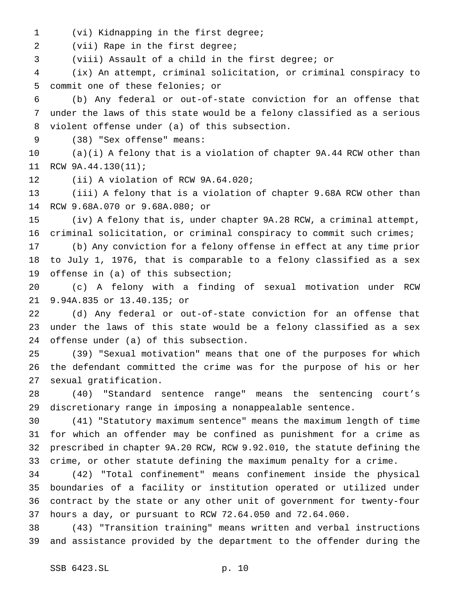(vi) Kidnapping in the first degree;

(vii) Rape in the first degree;

(viii) Assault of a child in the first degree; or

 (ix) An attempt, criminal solicitation, or criminal conspiracy to commit one of these felonies; or

 (b) Any federal or out-of-state conviction for an offense that under the laws of this state would be a felony classified as a serious violent offense under (a) of this subsection.

(38) "Sex offense" means:

 (a)(i) A felony that is a violation of chapter 9A.44 RCW other than RCW 9A.44.130(11);

(ii) A violation of RCW 9A.64.020;

 (iii) A felony that is a violation of chapter 9.68A RCW other than RCW 9.68A.070 or 9.68A.080; or

 (iv) A felony that is, under chapter 9A.28 RCW, a criminal attempt, criminal solicitation, or criminal conspiracy to commit such crimes;

 (b) Any conviction for a felony offense in effect at any time prior to July 1, 1976, that is comparable to a felony classified as a sex offense in (a) of this subsection;

 (c) A felony with a finding of sexual motivation under RCW 9.94A.835 or 13.40.135; or

 (d) Any federal or out-of-state conviction for an offense that under the laws of this state would be a felony classified as a sex offense under (a) of this subsection.

 (39) "Sexual motivation" means that one of the purposes for which the defendant committed the crime was for the purpose of his or her sexual gratification.

 (40) "Standard sentence range" means the sentencing court's discretionary range in imposing a nonappealable sentence.

 (41) "Statutory maximum sentence" means the maximum length of time for which an offender may be confined as punishment for a crime as prescribed in chapter 9A.20 RCW, RCW 9.92.010, the statute defining the crime, or other statute defining the maximum penalty for a crime.

 (42) "Total confinement" means confinement inside the physical boundaries of a facility or institution operated or utilized under contract by the state or any other unit of government for twenty-four hours a day, or pursuant to RCW 72.64.050 and 72.64.060.

 (43) "Transition training" means written and verbal instructions and assistance provided by the department to the offender during the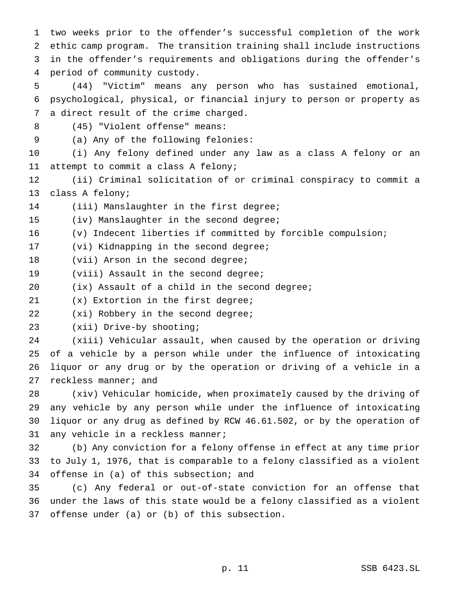two weeks prior to the offender's successful completion of the work ethic camp program. The transition training shall include instructions in the offender's requirements and obligations during the offender's period of community custody.

 (44) "Victim" means any person who has sustained emotional, psychological, physical, or financial injury to person or property as a direct result of the crime charged.

(45) "Violent offense" means:

(a) Any of the following felonies:

 (i) Any felony defined under any law as a class A felony or an attempt to commit a class A felony;

 (ii) Criminal solicitation of or criminal conspiracy to commit a class A felony;

(iii) Manslaughter in the first degree;

(iv) Manslaughter in the second degree;

(v) Indecent liberties if committed by forcible compulsion;

(vi) Kidnapping in the second degree;

18 (vii) Arson in the second degree;

19 (viii) Assault in the second degree;

(ix) Assault of a child in the second degree;

(x) Extortion in the first degree;

(xi) Robbery in the second degree;

(xii) Drive-by shooting;

 (xiii) Vehicular assault, when caused by the operation or driving of a vehicle by a person while under the influence of intoxicating liquor or any drug or by the operation or driving of a vehicle in a 27 reckless manner; and

 (xiv) Vehicular homicide, when proximately caused by the driving of any vehicle by any person while under the influence of intoxicating liquor or any drug as defined by RCW 46.61.502, or by the operation of any vehicle in a reckless manner;

 (b) Any conviction for a felony offense in effect at any time prior to July 1, 1976, that is comparable to a felony classified as a violent offense in (a) of this subsection; and

 (c) Any federal or out-of-state conviction for an offense that under the laws of this state would be a felony classified as a violent offense under (a) or (b) of this subsection.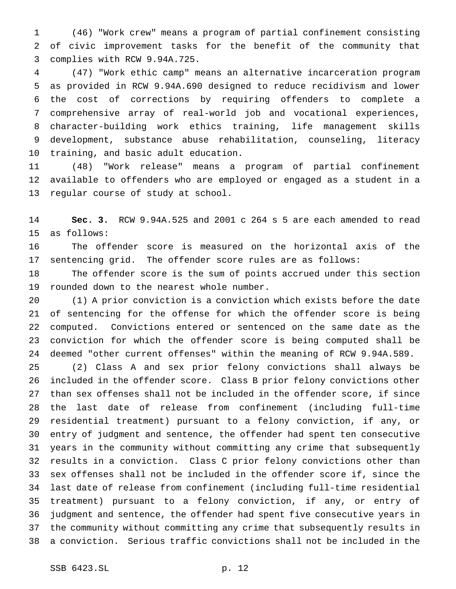(46) "Work crew" means a program of partial confinement consisting of civic improvement tasks for the benefit of the community that complies with RCW 9.94A.725.

 (47) "Work ethic camp" means an alternative incarceration program as provided in RCW 9.94A.690 designed to reduce recidivism and lower the cost of corrections by requiring offenders to complete a comprehensive array of real-world job and vocational experiences, character-building work ethics training, life management skills development, substance abuse rehabilitation, counseling, literacy training, and basic adult education.

 (48) "Work release" means a program of partial confinement available to offenders who are employed or engaged as a student in a regular course of study at school.

 **Sec. 3.** RCW 9.94A.525 and 2001 c 264 s 5 are each amended to read as follows:

 The offender score is measured on the horizontal axis of the sentencing grid. The offender score rules are as follows:

 The offender score is the sum of points accrued under this section rounded down to the nearest whole number.

 (1) A prior conviction is a conviction which exists before the date of sentencing for the offense for which the offender score is being computed. Convictions entered or sentenced on the same date as the conviction for which the offender score is being computed shall be deemed "other current offenses" within the meaning of RCW 9.94A.589.

 (2) Class A and sex prior felony convictions shall always be included in the offender score. Class B prior felony convictions other than sex offenses shall not be included in the offender score, if since the last date of release from confinement (including full-time residential treatment) pursuant to a felony conviction, if any, or entry of judgment and sentence, the offender had spent ten consecutive years in the community without committing any crime that subsequently results in a conviction. Class C prior felony convictions other than sex offenses shall not be included in the offender score if, since the last date of release from confinement (including full-time residential treatment) pursuant to a felony conviction, if any, or entry of judgment and sentence, the offender had spent five consecutive years in the community without committing any crime that subsequently results in a conviction. Serious traffic convictions shall not be included in the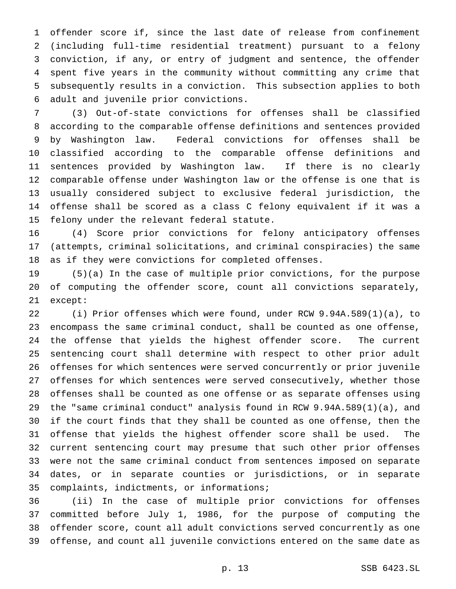offender score if, since the last date of release from confinement (including full-time residential treatment) pursuant to a felony conviction, if any, or entry of judgment and sentence, the offender spent five years in the community without committing any crime that subsequently results in a conviction. This subsection applies to both adult and juvenile prior convictions.

 (3) Out-of-state convictions for offenses shall be classified according to the comparable offense definitions and sentences provided by Washington law. Federal convictions for offenses shall be classified according to the comparable offense definitions and sentences provided by Washington law. If there is no clearly comparable offense under Washington law or the offense is one that is usually considered subject to exclusive federal jurisdiction, the offense shall be scored as a class C felony equivalent if it was a felony under the relevant federal statute.

 (4) Score prior convictions for felony anticipatory offenses (attempts, criminal solicitations, and criminal conspiracies) the same as if they were convictions for completed offenses.

 (5)(a) In the case of multiple prior convictions, for the purpose of computing the offender score, count all convictions separately, except:

 (i) Prior offenses which were found, under RCW 9.94A.589(1)(a), to encompass the same criminal conduct, shall be counted as one offense, the offense that yields the highest offender score. The current sentencing court shall determine with respect to other prior adult offenses for which sentences were served concurrently or prior juvenile offenses for which sentences were served consecutively, whether those offenses shall be counted as one offense or as separate offenses using the "same criminal conduct" analysis found in RCW 9.94A.589(1)(a), and if the court finds that they shall be counted as one offense, then the offense that yields the highest offender score shall be used. The current sentencing court may presume that such other prior offenses were not the same criminal conduct from sentences imposed on separate dates, or in separate counties or jurisdictions, or in separate complaints, indictments, or informations;

 (ii) In the case of multiple prior convictions for offenses committed before July 1, 1986, for the purpose of computing the offender score, count all adult convictions served concurrently as one offense, and count all juvenile convictions entered on the same date as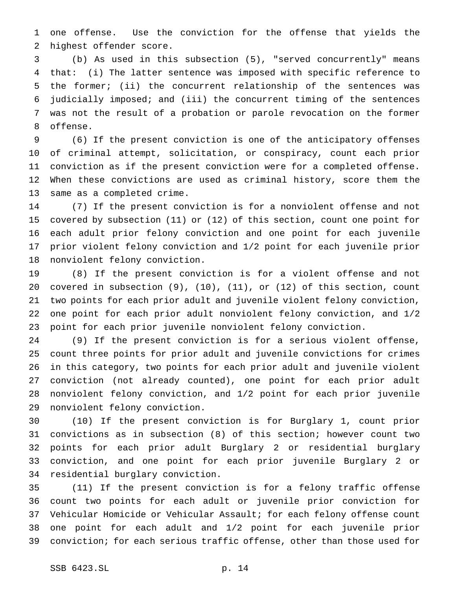one offense. Use the conviction for the offense that yields the highest offender score.

 (b) As used in this subsection (5), "served concurrently" means that: (i) The latter sentence was imposed with specific reference to the former; (ii) the concurrent relationship of the sentences was judicially imposed; and (iii) the concurrent timing of the sentences was not the result of a probation or parole revocation on the former offense.

 (6) If the present conviction is one of the anticipatory offenses of criminal attempt, solicitation, or conspiracy, count each prior conviction as if the present conviction were for a completed offense. When these convictions are used as criminal history, score them the same as a completed crime.

 (7) If the present conviction is for a nonviolent offense and not covered by subsection (11) or (12) of this section, count one point for each adult prior felony conviction and one point for each juvenile prior violent felony conviction and 1/2 point for each juvenile prior nonviolent felony conviction.

 (8) If the present conviction is for a violent offense and not covered in subsection (9), (10), (11), or (12) of this section, count two points for each prior adult and juvenile violent felony conviction, one point for each prior adult nonviolent felony conviction, and 1/2 point for each prior juvenile nonviolent felony conviction.

 (9) If the present conviction is for a serious violent offense, count three points for prior adult and juvenile convictions for crimes in this category, two points for each prior adult and juvenile violent conviction (not already counted), one point for each prior adult nonviolent felony conviction, and 1/2 point for each prior juvenile nonviolent felony conviction.

 (10) If the present conviction is for Burglary 1, count prior convictions as in subsection (8) of this section; however count two points for each prior adult Burglary 2 or residential burglary conviction, and one point for each prior juvenile Burglary 2 or residential burglary conviction.

 (11) If the present conviction is for a felony traffic offense count two points for each adult or juvenile prior conviction for Vehicular Homicide or Vehicular Assault; for each felony offense count one point for each adult and 1/2 point for each juvenile prior conviction; for each serious traffic offense, other than those used for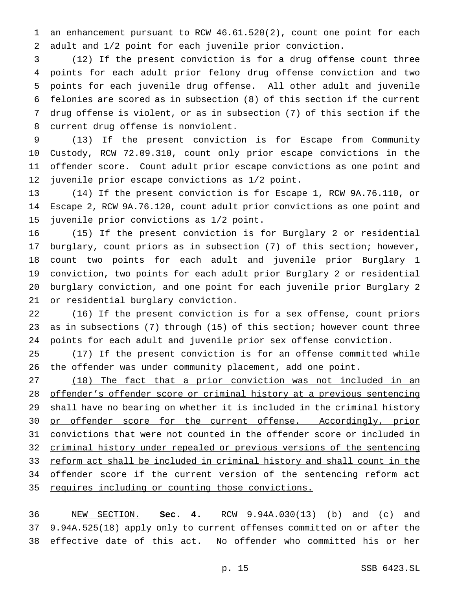an enhancement pursuant to RCW 46.61.520(2), count one point for each adult and 1/2 point for each juvenile prior conviction.

 (12) If the present conviction is for a drug offense count three points for each adult prior felony drug offense conviction and two points for each juvenile drug offense. All other adult and juvenile felonies are scored as in subsection (8) of this section if the current drug offense is violent, or as in subsection (7) of this section if the current drug offense is nonviolent.

 (13) If the present conviction is for Escape from Community Custody, RCW 72.09.310, count only prior escape convictions in the offender score. Count adult prior escape convictions as one point and juvenile prior escape convictions as 1/2 point.

 (14) If the present conviction is for Escape 1, RCW 9A.76.110, or Escape 2, RCW 9A.76.120, count adult prior convictions as one point and juvenile prior convictions as 1/2 point.

 (15) If the present conviction is for Burglary 2 or residential burglary, count priors as in subsection (7) of this section; however, count two points for each adult and juvenile prior Burglary 1 conviction, two points for each adult prior Burglary 2 or residential burglary conviction, and one point for each juvenile prior Burglary 2 or residential burglary conviction.

 (16) If the present conviction is for a sex offense, count priors as in subsections (7) through (15) of this section; however count three points for each adult and juvenile prior sex offense conviction.

 (17) If the present conviction is for an offense committed while the offender was under community placement, add one point.

 (18) The fact that a prior conviction was not included in an offender's offender score or criminal history at a previous sentencing 29 shall have no bearing on whether it is included in the criminal history 30 or offender score for the current offense. Accordingly, prior convictions that were not counted in the offender score or included in criminal history under repealed or previous versions of the sentencing reform act shall be included in criminal history and shall count in the 34 offender score if the current version of the sentencing reform act requires including or counting those convictions.

 NEW SECTION. **Sec. 4.** RCW 9.94A.030(13) (b) and (c) and 9.94A.525(18) apply only to current offenses committed on or after the effective date of this act. No offender who committed his or her